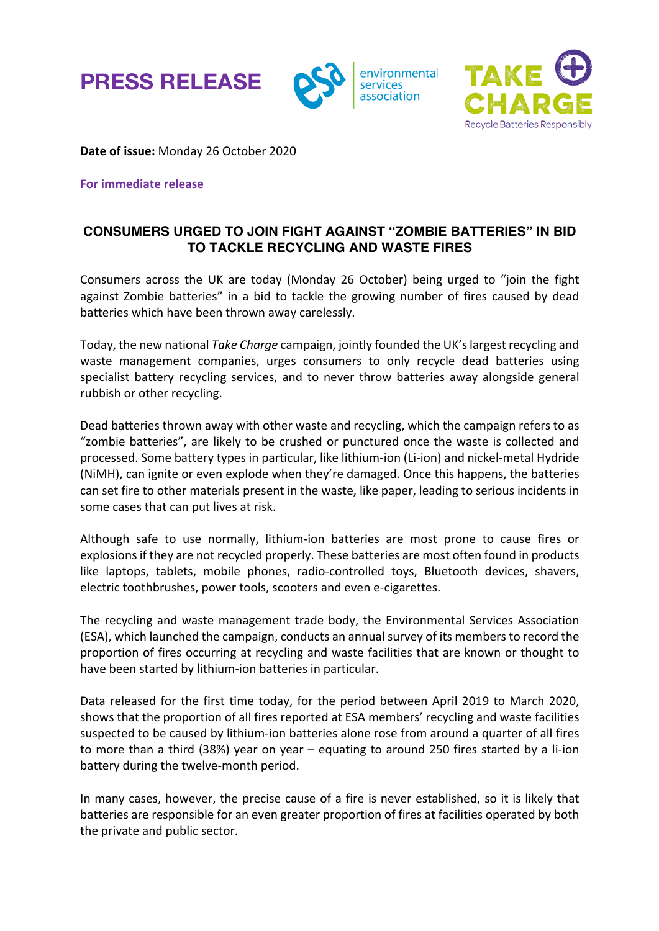





**Date of issue:** Monday 26 October 2020

**For immediate release**

## **CONSUMERS URGED TO JOIN FIGHT AGAINST "ZOMBIE BATTERIES" IN BID TO TACKLE RECYCLING AND WASTE FIRES**

Consumers across the UK are today (Monday 26 October) being urged to "join the fight against Zombie batteries" in a bid to tackle the growing number of fires caused by dead batteries which have been thrown away carelessly.

Today, the new national *Take Charge* campaign, jointly founded the UK's largest recycling and waste management companies, urges consumers to only recycle dead batteries using specialist battery recycling services, and to never throw batteries away alongside general rubbish or other recycling.

Dead batteries thrown away with other waste and recycling, which the campaign refers to as "zombie batteries", are likely to be crushed or punctured once the waste is collected and processed. Some battery types in particular, like lithium-ion (Li-ion) and nickel-metal Hydride (NiMH), can ignite or even explode when they're damaged. Once this happens, the batteries can set fire to other materials present in the waste, like paper, leading to serious incidents in some cases that can put lives at risk.

Although safe to use normally, lithium-ion batteries are most prone to cause fires or explosions if they are not recycled properly. These batteries are most often found in products like laptops, tablets, mobile phones, radio-controlled toys, Bluetooth devices, shavers, electric toothbrushes, power tools, scooters and even e-cigarettes.

The recycling and waste management trade body, the Environmental Services Association (ESA), which launched the campaign, conducts an annual survey of its members to record the proportion of fires occurring at recycling and waste facilities that are known or thought to have been started by lithium-ion batteries in particular.

Data released for the first time today, for the period between April 2019 to March 2020, shows that the proportion of all fires reported at ESA members' recycling and waste facilities suspected to be caused by lithium-ion batteries alone rose from around a quarter of all fires to more than a third (38%) year on year – equating to around 250 fires started by a li-ion battery during the twelve-month period.

In many cases, however, the precise cause of a fire is never established, so it is likely that batteries are responsible for an even greater proportion of fires at facilities operated by both the private and public sector.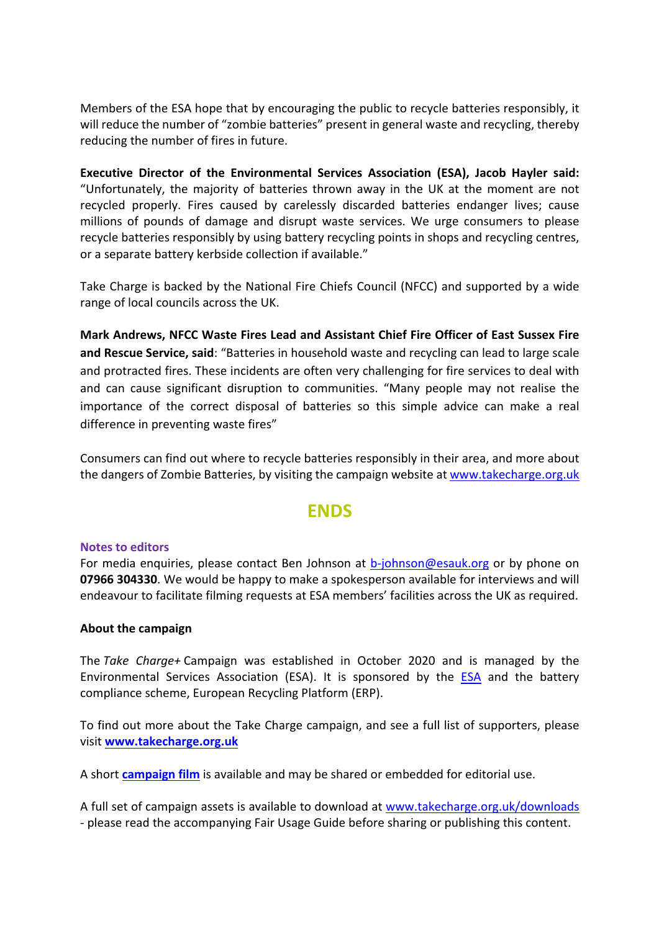Members of the ESA hope that by encouraging the public to recycle batteries responsibly, it will reduce the number of "zombie batteries" present in general waste and recycling, thereby reducing the number of fires in future.

**Executive Director of the Environmental Services Association (ESA), Jacob Hayler said:** "Unfortunately, the majority of batteries thrown away in the UK at the moment are not recycled properly. Fires caused by carelessly discarded batteries endanger lives; cause millions of pounds of damage and disrupt waste services. We urge consumers to please recycle batteries responsibly by using battery recycling points in shops and recycling centres, or a separate battery kerbside collection if available."

Take Charge is backed by the National Fire Chiefs Council (NFCC) and supported by a wide range of local councils across the UK.

**Mark Andrews, NFCC Waste Fires Lead and Assistant Chief Fire Officer of East Sussex Fire and Rescue Service, said**: "Batteries in household waste and recycling can lead to large scale and protracted fires. These incidents are often very challenging for fire services to deal with and can cause significant disruption to communities. "Many people may not realise the importance of the correct disposal of batteries so this simple advice can make a real difference in preventing waste fires"

Consumers can find out where to recycle batteries responsibly in their area, and more about the dangers of Zombie Batteries, by visiting the campaign website at www.takecharge.org.uk

# **ENDS**

#### **Notes to editors**

For media enquiries, please contact Ben Johnson at b-johnson@esauk.org or by phone on **07966 304330**. We would be happy to make a spokesperson available for interviews and will endeavour to facilitate filming requests at ESA members' facilities across the UK as required.

#### **About the campaign**

The *Take Charge+* Campaign was established in October 2020 and is managed by the Environmental Services Association (ESA). It is sponsored by the ESA and the battery compliance scheme, European Recycling Platform (ERP).

To find out more about the Take Charge campaign, and see a full list of supporters, please visit **www.takecharge.org.uk**

A short **campaign film** is available and may be shared or embedded for editorial use.

A full set of campaign assets is available to download at www.takecharge.org.uk/downloads - please read the accompanying Fair Usage Guide before sharing or publishing this content.